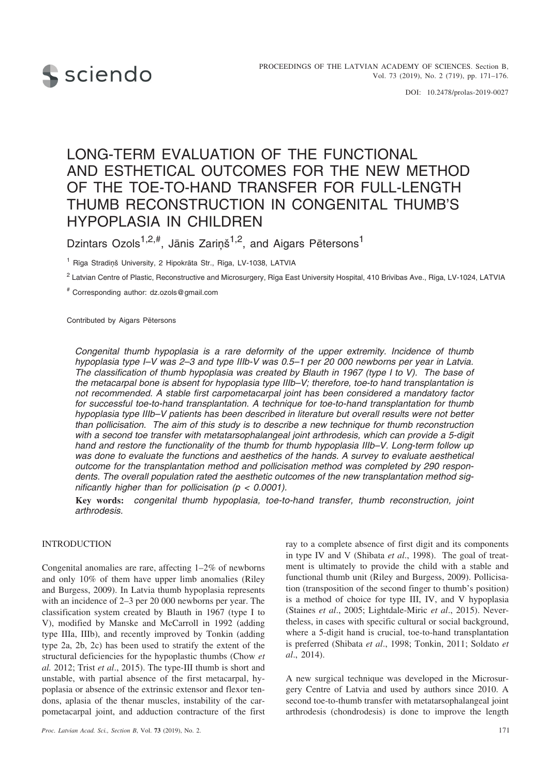

DOI: 10.2478/prolas-2019-0027

# LONG-TERM EVALUATION OF THE FUNCTIONAL AND ESTHETICAL OUTCOMES FOR THE NEW METHOD OF THE TOE-TO-HAND TRANSFER FOR FULL-LENGTH THUMB RECONSTRUCTION IN CONGENITAL THUMB'S HYPOPLASIA IN CHILDREN

Dzintars Ozols<sup>1,2,#</sup>, Jānis Zariņš<sup>1,2</sup>, and Aigars Pētersons<sup>1</sup>

<sup>1</sup> Rīga Stradiņš University, 2 Hipokrāta Str., Rīga, LV-1038, LATVIA

<sup>2</sup> Latvian Centre of Plastic, Reconstructive and Microsurgery, Rīga East University Hospital, 410 Brīvības Ave., Rīga, LV-1024, LATVIA

# Corresponding author: dz.ozols@gmail.com

Contributed by Aigars Pētersons

*Congenital thumb hypoplasia is a rare deformity of the upper extremity. Incidence of thumb hypoplasia type I–V was 2–3 and type IIIb-V was 0.5–1 per 20 000 newborns per year in Latvia. The classification of thumb hypoplasia was created by Blauth in 1967 (type I to V). The base of the metacarpal bone is absent for hypoplasia type IIIb–V; therefore, toe-to hand transplantation is not recommended. A stable first carpometacarpal joint has been considered a mandatory factor for successful toe-to-hand transplantation. A technique for toe-to-hand transplantation for thumb hypoplasia type IIIb–V patients has been described in literature but overall results were not better than pollicisation. The aim of this study is to describe a new technique for thumb reconstruction with a second toe transfer with metatarsophalangeal joint arthrodesis, which can provide a 5-digit hand and restore the functionality of the thumb for thumb hypoplasia IIIb–V. Long-term follow up was done to evaluate the functions and aesthetics of the hands. A survey to evaluate aesthetical outcome for the transplantation method and pollicisation method was completed by 290 respondents. The overall population rated the aesthetic outcomes of the new transplantation method significantly higher than for pollicisation (p < 0.0001).*

**Key words:** *congenital thumb hypoplasia, toe-to-hand transfer, thumb reconstruction, joint arthrodesis.*

#### INTRODUCTION

Congenital anomalies are rare, affecting 1–2% of newborns and only 10% of them have upper limb anomalies (Riley and Burgess, 2009). In Latvia thumb hypoplasia represents with an incidence of 2–3 per 20 000 newborns per year. The classification system created by Blauth in 1967 (type I to V), modified by Manske and McCarroll in 1992 (adding type IIIa, IIIb), and recently improved by Tonkin (adding type 2a, 2b, 2c) has been used to stratify the extent of the structural deficiencies for the hypoplastic thumbs (Chow *et al.* 2012; Trist *et al*., 2015). The type-III thumb is short and unstable, with partial absence of the first metacarpal, hypoplasia or absence of the extrinsic extensor and flexor tendons, aplasia of the thenar muscles, instability of the carpometacarpal joint, and adduction contracture of the first ray to a complete absence of first digit and its components in type IV and V (Shibata *et al*., 1998). The goal of treatment is ultimately to provide the child with a stable and functional thumb unit (Riley and Burgess, 2009). Pollicisation (transposition of the second finger to thumb's position) is a method of choice for type III, IV, and V hypoplasia (Staines *et al*., 2005; Lightdale-Miric *et al*., 2015). Nevertheless, in cases with specific cultural or social background, where a 5-digit hand is crucial, toe-to-hand transplantation is preferred (Shibata *et al*., 1998; Tonkin, 2011; Soldato *et al*., 2014).

A new surgical technique was developed in the Microsurgery Centre of Latvia and used by authors since 2010. A second toe-to-thumb transfer with metatarsophalangeal joint arthrodesis (chondrodesis) is done to improve the length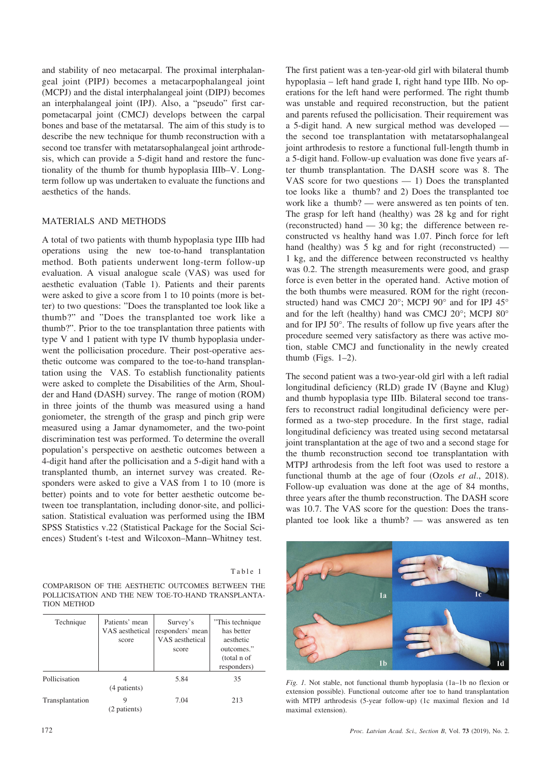and stability of neo metacarpal. The proximal interphalangeal joint (PIPJ) becomes a metacarpophalangeal joint (MCPJ) and the distal interphalangeal joint (DIPJ) becomes an interphalangeal joint (IPJ). Also, a "pseudo" first carpometacarpal joint (CMCJ) develops between the carpal bones and base of the metatarsal. The aim of this study is to describe the new technique for thumb reconstruction with a second toe transfer with metatarsophalangeal joint arthrodesis, which can provide a 5-digit hand and restore the functionality of the thumb for thumb hypoplasia IIIb–V. Longterm follow up was undertaken to evaluate the functions and aesthetics of the hands.

# MATERIALS AND METHODS

A total of two patients with thumb hypoplasia type IIIb had operations using the new toe-to-hand transplantation method. Both patients underwent long-term follow-up evaluation. A visual analogue scale (VAS) was used for aesthetic evaluation (Table 1). Patients and their parents were asked to give a score from 1 to 10 points (more is better) to two questions: "Does the transplanted toe look like a thumb?" and "Does the transplanted toe work like a thumb?". Prior to the toe transplantation three patients with type V and 1 patient with type IV thumb hypoplasia underwent the pollicisation procedure. Their post-operative aesthetic outcome was compared to the toe-to-hand transplantation using the VAS. To establish functionality patients were asked to complete the Disabilities of the Arm, Shoulder and Hand **(**DASH) survey. The range of motion (ROM) in three joints of the thumb was measured using a hand goniometer, the strength of the grasp and pinch grip were measured using a Jamar dynamometer, and the two-point discrimination test was performed. To determine the overall population's perspective on aesthetic outcomes between a 4-digit hand after the pollicisation and a 5-digit hand with a transplanted thumb, an internet survey was created. Responders were asked to give a VAS from 1 to 10 (more is better) points and to vote for better aesthetic outcome between toe transplantation, including donor-site, and pollicisation. Statistical evaluation was performed using the IBM SPSS Statistics v.22 (Statistical Package for the Social Sciences) Student's t-test and Wilcoxon–Mann–Whitney test.

|--|--|--|--|--|--|

COMPARISON OF THE AESTHETIC OUTCOMES BETWEEN THE POLLICISATION AND THE NEW TOE-TO-HAND TRANSPLANTA-TION METHOD

| Technique       | Patients' mean<br>VAS aesthetical<br>score | Survey's<br>responders' mean<br>VAS aesthetical<br>score | "This technique"<br>has better<br>aesthetic<br>outcomes."<br>(total n of<br>responders) |
|-----------------|--------------------------------------------|----------------------------------------------------------|-----------------------------------------------------------------------------------------|
| Pollicisation   | (4 patients)                               | 5.84                                                     | 35                                                                                      |
| Transplantation | (2 patients)                               | 7.04                                                     | 213                                                                                     |

The first patient was a ten-year-old girl with bilateral thumb hypoplasia – left hand grade I, right hand type IIIb. No operations for the left hand were performed. The right thumb was unstable and required reconstruction, but the patient and parents refused the pollicisation. Their requirement was a 5-digit hand. A new surgical method was developed the second toe transplantation with metatarsophalangeal joint arthrodesis to restore a functional full-length thumb in a 5-digit hand. Follow-up evaluation was done five years after thumb transplantation. The DASH score was 8. The VAS score for two questions  $-1$ ) Does the transplanted toe looks like a thumb? and 2) Does the transplanted toe work like a thumb? — were answered as ten points of ten. The grasp for left hand (healthy) was 28 kg and for right (reconstructed) hand — 30 kg; the difference between reconstructed vs healthy hand was 1.07. Pinch force for left hand (healthy) was 5 kg and for right (reconstructed) — 1 kg, and the difference between reconstructed vs healthy was 0.2. The strength measurements were good, and grasp force is even better in the operated hand. Active motion of the both thumbs were measured. ROM for the right (reconstructed) hand was CMCJ 20°; MCPJ 90° and for IPJ 45° and for the left (healthy) hand was CMCJ 20°; MCPJ 80° and for IPJ 50°. The results of follow up five years after the procedure seemed very satisfactory as there was active motion, stable CMCJ and functionality in the newly created thumb (Figs.  $1-2$ ).

The second patient was a two-year-old girl with a left radial longitudinal deficiency (RLD) grade IV (Bayne and Klug) and thumb hypoplasia type IIIb. Bilateral second toe transfers to reconstruct radial longitudinal deficiency were performed as a two-step procedure. In the first stage, radial longitudinal deficiency was treated using second metatarsal joint transplantation at the age of two and a second stage for the thumb reconstruction second toe transplantation with MTPJ arthrodesis from the left foot was used to restore a functional thumb at the age of four (Ozols *et al*., 2018). Follow-up evaluation was done at the age of 84 months, three years after the thumb reconstruction. The DASH score was 10.7. The VAS score for the question: Does the transplanted toe look like a thumb? — was answered as ten



*Fig. 1.* Not stable, not functional thumb hypoplasia (1a–1b no flexion or extension possible). Functional outcome after toe to hand transplantation with MTPJ arthrodesis (5-year follow-up) (1c maximal flexion and 1d maximal extension).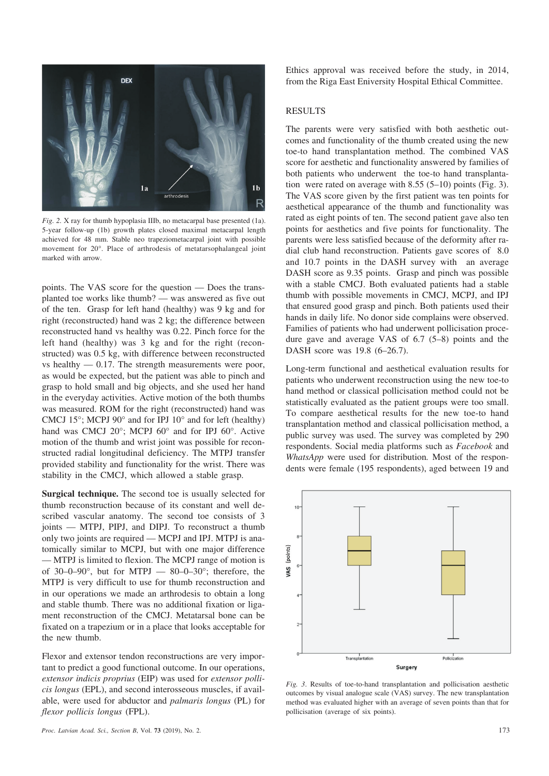

*Fig. 2.* X ray for thumb hypoplasia IIIb, no metacarpal base presented (1a). 5-year follow-up (1b) growth plates closed maximal metacarpal length achieved for 48 mm. Stable neo trapeziometacarpal joint with possible movement for 20°. Place of arthrodesis of metatarsophalangeal joint marked with arrow.

points. The VAS score for the question — Does the transplanted toe works like thumb? — was answered as five out of the ten. Grasp for left hand (healthy) was 9 kg and for right (reconstructed) hand was 2 kg; the difference between reconstructed hand vs healthy was 0.22. Pinch force for the left hand (healthy) was 3 kg and for the right (reconstructed) was 0.5 kg, with difference between reconstructed vs healthy  $-0.17$ . The strength measurements were poor, as would be expected, but the patient was able to pinch and grasp to hold small and big objects, and she used her hand in the everyday activities. Active motion of the both thumbs was measured. ROM for the right (reconstructed) hand was CMCJ 15 $\degree$ ; MCPJ 90 $\degree$  and for IPJ 10 $\degree$  and for left (healthy) hand was CMCJ 20°; MCPJ 60° and for IPJ 60°. Active motion of the thumb and wrist joint was possible for reconstructed radial longitudinal deficiency. The MTPJ transfer provided stability and functionality for the wrist. There was stability in the CMCJ, which allowed a stable grasp.

**Surgical technique.** The second toe is usually selected for thumb reconstruction because of its constant and well described vascular anatomy. The second toe consists of 3 joints — MTPJ, PIPJ, and DIPJ. To reconstruct a thumb only two joints are required — MCPJ and IPJ. MTPJ is anatomically similar to MCPJ, but with one major difference — MTPJ is limited to flexion. The MCPJ range of motion is of 30–0–90 $^{\circ}$ , but for MTPJ — 80–0–30 $^{\circ}$ ; therefore, the MTPJ is very difficult to use for thumb reconstruction and in our operations we made an arthrodesis to obtain a long and stable thumb. There was no additional fixation or ligament reconstruction of the CMCJ. Metatarsal bone can be fixated on a trapezium or in a place that looks acceptable for the new thumb.

Flexor and extensor tendon reconstructions are very important to predict a good functional outcome. In our operations, *extensor indicis proprius* (EIP) was used for *extensor pollicis longus* (EPL), and second interosseous muscles, if available, were used for abductor and *palmaris longus* (PL) for *flexor pollicis longus* (FPL).

Ethics approval was received before the study, in 2014, from the Riga East Eniversity Hospital Ethical Committee.

#### RESULTS

The parents were very satisfied with both aesthetic outcomes and functionality of the thumb created using the new toe-to hand transplantation method. The combined VAS score for aesthetic and functionality answered by families of both patients who underwent the toe-to hand transplantation were rated on average with 8.55 (5–10) points (Fig. 3). The VAS score given by the first patient was ten points for aesthetical appearance of the thumb and functionality was rated as eight points of ten. The second patient gave also ten points for aesthetics and five points for functionality. The parents were less satisfied because of the deformity after radial club hand reconstruction. Patients gave scores of 8.0 and 10.7 points in the DASH survey with an average DASH score as 9.35 points. Grasp and pinch was possible with a stable CMCJ. Both evaluated patients had a stable thumb with possible movements in CMCJ, MCPJ, and IPJ that ensured good grasp and pinch. Both patients used their hands in daily life. No donor side complains were observed. Families of patients who had underwent pollicisation procedure gave and average VAS of 6.7 (5–8) points and the DASH score was 19.8 (6–26.7).

Long-term functional and aesthetical evaluation results for patients who underwent reconstruction using the new toe-to hand method or classical pollicisation method could not be statistically evaluated as the patient groups were too small. To compare aesthetical results for the new toe-to hand transplantation method and classical pollicisation method, a public survey was used. The survey was completed by 290 respondents. Social media platforms such as *Facebook* and *WhatsApp* were used for distribution*.* Most of the respondents were female (195 respondents), aged between 19 and



*Fig. 3*. Results of toe-to-hand transplantation and pollicisation aesthetic outcomes by visual analogue scale (VAS) survey. The new transplantation method was evaluated higher with an average of seven points than that for pollicisation (average of six points).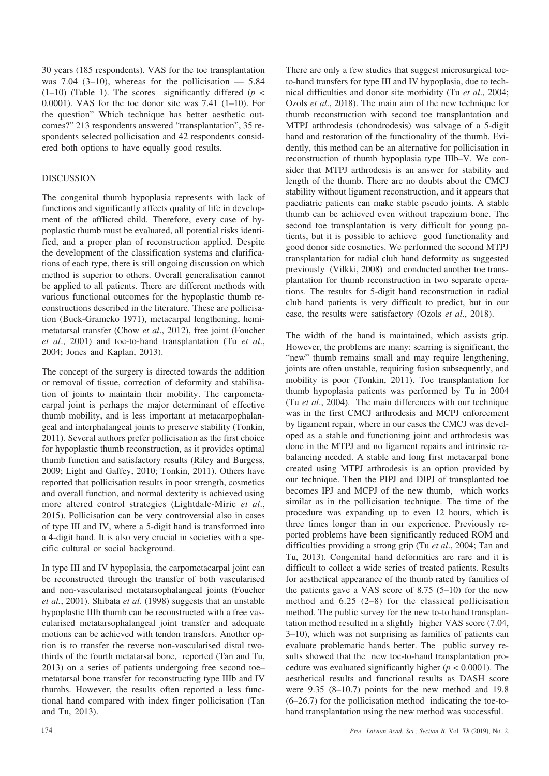30 years (185 respondents). VAS for the toe transplantation was 7.04 (3–10), whereas for the pollicisation  $-$  5.84  $(1-10)$  (Table 1). The scores significantly differed ( $p <$ 0.0001). VAS for the toe donor site was  $7.41$  (1–10). For the question" Which technique has better aesthetic outcomes?" 213 respondents answered "transplantation", 35 respondents selected pollicisation and 42 respondents considered both options to have equally good results.

# DISCUSSION

The congenital thumb hypoplasia represents with lack of functions and significantly affects quality of life in development of the afflicted child. Therefore, every case of hypoplastic thumb must be evaluated, all potential risks identified, and a proper plan of reconstruction applied. Despite the development of the classification systems and clarifications of each type, there is still ongoing discussion on which method is superior to others. Overall generalisation cannot be applied to all patients. There are different methods with various functional outcomes for the hypoplastic thumb reconstructions described in the literature. These are pollicisation (Buck-Gramcko 1971), metacarpal lengthening, hemimetatarsal transfer (Chow *et al*., 2012), free joint (Foucher *et al*., 2001) and toe-to-hand transplantation (Tu *et al*., 2004; Jones and Kaplan, 2013).

The concept of the surgery is directed towards the addition or removal of tissue, correction of deformity and stabilisation of joints to maintain their mobility. The carpometacarpal joint is perhaps the major determinant of effective thumb mobility, and is less important at metacarpophalangeal and interphalangeal joints to preserve stability (Tonkin, 2011). Several authors prefer pollicisation as the first choice for hypoplastic thumb reconstruction, as it provides optimal thumb function and satisfactory results (Riley and Burgess, 2009; Light and Gaffey, 2010; Tonkin, 2011). Others have reported that pollicisation results in poor strength, cosmetics and overall function, and normal dexterity is achieved using more altered control strategies (Lightdale-Miric *et al*., 2015). Pollicisation can be very controversial also in cases of type III and IV, where a 5-digit hand is transformed into a 4-digit hand. It is also very crucial in societies with a specific cultural or social background.

In type III and IV hypoplasia, the carpometacarpal joint can be reconstructed through the transfer of both vascularised and non-vascularised metatarsophalangeal joints (Foucher *et al.*, 2001). Shibata *et al*. (1998) suggests that an unstable hypoplastic IIIb thumb can be reconstructed with a free vascularised metatarsophalangeal joint transfer and adequate motions can be achieved with tendon transfers. Another option is to transfer the reverse non-vascularised distal twothirds of the fourth metatarsal bone, reported (Tan and Tu, 2013) on a series of patients undergoing free second toe– metatarsal bone transfer for reconstructing type IIIb and IV thumbs. However, the results often reported a less functional hand compared with index finger pollicisation (Tan and Tu, 2013).

There are only a few studies that suggest microsurgical toeto-hand transfers for type III and IV hypoplasia, due to technical difficulties and donor site morbidity (Tu *et al*., 2004; Ozols *et al*., 2018). The main aim of the new technique for thumb reconstruction with second toe transplantation and MTPJ arthrodesis (chondrodesis) was salvage of a 5-digit hand and restoration of the functionality of the thumb. Evidently, this method can be an alternative for pollicisation in reconstruction of thumb hypoplasia type IIIb–V. We consider that MTPJ arthrodesis is an answer for stability and length of the thumb. There are no doubts about the CMCJ stability without ligament reconstruction, and it appears that paediatric patients can make stable pseudo joints. A stable thumb can be achieved even without trapezium bone. The second toe transplantation is very difficult for young patients, but it is possible to achieve good functionality and good donor side cosmetics. We performed the second MTPJ transplantation for radial club hand deformity as suggested previously (Vilkki, 2008) and conducted another toe transplantation for thumb reconstruction in two separate operations. The results for 5-digit hand reconstruction in radial club hand patients is very difficult to predict, but in our case, the results were satisfactory (Ozols *et al*., 2018).

The width of the hand is maintained, which assists grip. However, the problems are many: scarring is significant, the "new" thumb remains small and may require lengthening, joints are often unstable, requiring fusion subsequently, and mobility is poor (Tonkin, 2011). Toe transplantation for thumb hypoplasia patients was performed by Tu in 2004 (Tu *et al*., 2004). The main differences with our technique was in the first CMCJ arthrodesis and MCPJ enforcement by ligament repair, where in our cases the CMCJ was developed as a stable and functioning joint and arthrodesis was done in the MTPJ and no ligament repairs and intrinsic rebalancing needed. A stable and long first metacarpal bone created using MTPJ arthrodesis is an option provided by our technique. Then the PIPJ and DIPJ of transplanted toe becomes IPJ and MCPJ of the new thumb, which works similar as in the pollicisation technique. The time of the procedure was expanding up to even 12 hours, which is three times longer than in our experience. Previously reported problems have been significantly reduced ROM and difficulties providing a strong grip (Tu *et al*., 2004; Tan and Tu, 2013). Congenital hand deformities are rare and it is difficult to collect a wide series of treated patients. Results for aesthetical appearance of the thumb rated by families of the patients gave a VAS score of  $8.75$  (5–10) for the new method and 6.25 (2–8) for the classical pollicisation method. The public survey for the new to-to hand transplantation method resulted in a slightly higher VAS score (7.04, 3–10), which was not surprising as families of patients can evaluate problematic hands better. The public survey results showed that the new toe-to-hand transplantation procedure was evaluated significantly higher ( $p < 0.0001$ ). The aesthetical results and functional results as DASH score were 9.35 (8–10.7) points for the new method and 19.8 (6–26.7) for the pollicisation method indicating the toe-tohand transplantation using the new method was successful.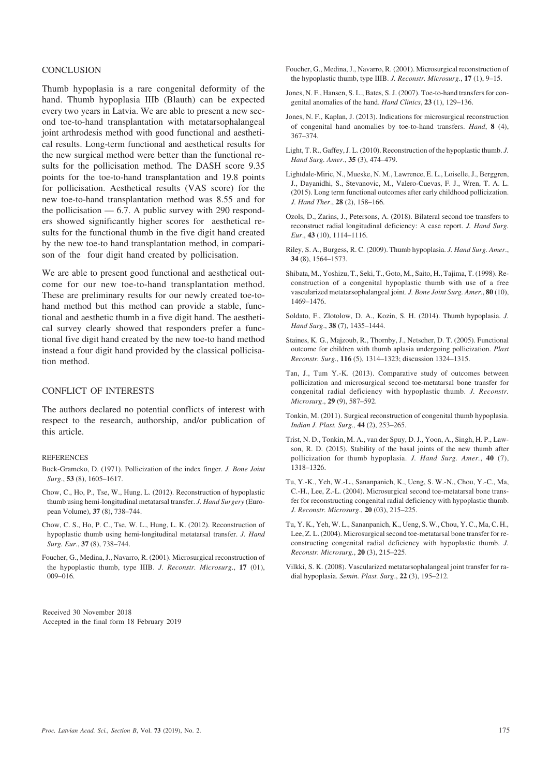# **CONCLUSION**

Thumb hypoplasia is a rare congenital deformity of the hand. Thumb hypoplasia IIIb (Blauth) can be expected every two years in Latvia. We are able to present a new second toe-to-hand transplantation with metatarsophalangeal joint arthrodesis method with good functional and aesthetical results. Long-term functional and aesthetical results for the new surgical method were better than the functional results for the pollicisation method. The DASH score 9.35 points for the toe-to-hand transplantation and 19.8 points for pollicisation. Aesthetical results (VAS score) for the new toe-to-hand transplantation method was 8.55 and for the pollicisation — 6.7. A public survey with 290 responders showed significantly higher scores for aesthetical results for the functional thumb in the five digit hand created by the new toe-to hand transplantation method, in comparison of the four digit hand created by pollicisation.

We are able to present good functional and aesthetical outcome for our new toe-to-hand transplantation method. These are preliminary results for our newly created toe-tohand method but this method can provide a stable, functional and aesthetic thumb in a five digit hand. The aesthetical survey clearly showed that responders prefer a functional five digit hand created by the new toe-to hand method instead a four digit hand provided by the classical pollicisation method.

# CONFLICT OF INTERESTS

The authors declared no potential conflicts of interest with respect to the research, authorship, and/or publication of this article.

#### REFERENCES

- Buck-Gramcko, D. (1971). Pollicization of the index finger. *J. Bone Joint Surg*., **53** (8), 1605–1617.
- Chow, C., Ho, P., Tse, W., Hung, L. (2012). Reconstruction of hypoplastic thumb using hemi-longitudinal metatarsal transfer. *J. Hand Surgery* (European Volume), **37** (8), 738–744.
- Chow, C. S., Ho, P. C., Tse, W. L., Hung, L. K. (2012). Reconstruction of hypoplastic thumb using hemi-longitudinal metatarsal transfer. *J. Hand Surg. Eur*., **37** (8), 738–744.
- Foucher, G., Medina, J., Navarro, R. (2001). Microsurgical reconstruction of the hypoplastic thumb, type IIIB. *J. Reconstr. Microsurg*., **17** (01), 009–016.

Received 30 November 2018 Accepted in the final form 18 February 2019

- Foucher, G., Medina, J., Navarro, R. (2001). Microsurgical reconstruction of the hypoplastic thumb, type IIIB. *J. Reconstr. Microsurg.*, **17** (1), 9–15.
- Jones, N. F., Hansen, S. L., Bates, S. J. (2007). Toe-to-hand transfers for congenital anomalies of the hand. *Hand Clinics*, **23** (1), 129–136.
- Jones, N. F., Kaplan, J. (2013). Indications for microsurgical reconstruction of congenital hand anomalies by toe-to-hand transfers. *Hand*, **8** (4), 367–374.
- Light, T. R., Gaffey, J. L. (2010). Reconstruction of the hypoplastic thumb. *J. Hand Surg. Amer*., **35** (3), 474–479.
- Lightdale-Miric, N., Mueske, N. M., Lawrence, E. L., Loiselle, J., Berggren, J., Dayanidhi, S., Stevanovic, M., Valero-Cuevas, F. J., Wren, T. A. L. (2015). Long term functional outcomes after early childhood pollicization. *J. Hand Ther*., **28** (2), 158–166.
- Ozols, D., Zarins, J., Petersons, A. (2018). Bilateral second toe transfers to reconstruct radial longitudinal deficiency: A case report. *J. Hand Surg. Eur*., **43** (10), 1114–1116.
- Riley, S. A., Burgess, R. C. (2009). Thumb hypoplasia. *J. Hand Surg. Amer*., **34** (8), 1564–1573.
- Shibata, M., Yoshizu, T., Seki, T., Goto, M., Saito, H., Tajima, T. (1998). Reconstruction of a congenital hypoplastic thumb with use of a free vascularized metatarsophalangeal joint. *J. Bone Joint Surg. Amer*., **80** (10), 1469–1476.
- Soldato, F., Zlotolow, D. A., Kozin, S. H. (2014). Thumb hypoplasia. *J. Hand Surg*., **38** (7), 1435–1444.
- Staines, K. G., Majzoub, R., Thornby, J., Netscher, D. T. (2005). Functional outcome for children with thumb aplasia undergoing pollicization. *Plast Reconstr. Surg.*, **116** (5), 1314–1323; discussion 1324–1315.
- Tan, J., Tum Y.-K. (2013). Comparative study of outcomes between pollicization and microsurgical second toe-metatarsal bone transfer for congenital radial deficiency with hypoplastic thumb. *J. Reconstr. Microsurg*., **29** (9), 587–592.
- Tonkin, M. (2011). Surgical reconstruction of congenital thumb hypoplasia. *Indian J. Plast. Surg.,* **44** (2), 253–265.
- Trist, N. D., Tonkin, M. A., van der Spuy, D. J., Yoon, A., Singh, H. P., Lawson, R. D. (2015). Stability of the basal joints of the new thumb after pollicization for thumb hypoplasia. *J. Hand Surg. Amer.*, **40** (7), 1318–1326.
- Tu, Y.-K., Yeh, W.-L., Sananpanich, K., Ueng, S. W.-N., Chou, Y.-C., Ma, C.-H., Lee, Z.-L. (2004). Microsurgical second toe-metatarsal bone transfer for reconstructing congenital radial deficiency with hypoplastic thumb. *J. Reconstr. Microsurg*., **20** (03), 215–225.
- Tu, Y. K., Yeh, W. L., Sananpanich, K., Ueng, S. W., Chou, Y. C., Ma, C. H., Lee, Z. L. (2004). Microsurgical second toe-metatarsal bone transfer for reconstructing congenital radial deficiency with hypoplastic thumb. *J. Reconstr. Microsurg.*, **20** (3), 215–225.
- Vilkki, S. K. (2008). Vascularized metatarsophalangeal joint transfer for radial hypoplasia. *Semin. Plast. Surg*., **22** (3), 195–212.